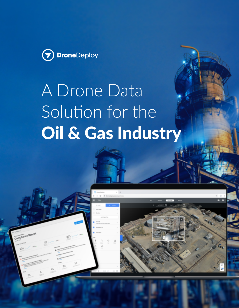

Compliance Rep

# A Drone Data Solution for the Oil & Gas Industry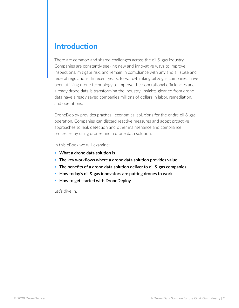## **Introduction**

There are common and shared challenges across the oil & gas industry. Companies are constantly seeking new and innovative ways to improve inspections, mitigate risk, and remain in compliance with any and all state and federal regulations. In recent years, forward-thinking oil & gas companies have been utilizing drone technology to improve their operational efficiencies and already drone data is transforming the industry. Insights gleaned from drone data have already saved companies millions of dollars in labor, remediation, and operations.

DroneDeploy provides practical, economical solutions for the entire oil & gas operation. Companies can discard reactive measures and adopt proactive approaches to leak detection and other maintenance and compliance processes by using drones and a drone data solution.

In this eBook we will examine:

- **What a drone data solution is**
- **The key workflows where a drone data solution provides value**
- **The benefits of a drone data solution deliver to oil & gas companies**
- **How today's oil & gas innovators are putting drones to work**
- **How to get started with DroneDeploy**

Let's dive in.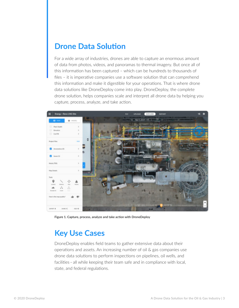## **Drone Data Solution**

For a wide array of industries, drones are able to capture an enormous amount of data from photos, videos, and panoramas to thermal imagery. But once all of this information has been captured – which can be hundreds to thousands of files – it is imperative companies use a software solution that can comprehend this information and make it digestible for your operations. That is where drone data solutions like DroneDeploy come into play. DroneDeploy, the complete drone solution, helps companies scale and interpret all drone data by helping you capture, process, analyze, and take action.



**Figure 1. Capture, process, analyze and take action with DroneDeploy**

## **Key Use Cases**

DroneDeploy enables field teams to gather extensive data about their operations and assets. An increasing number of oil & gas companies use drone data solutions to perform inspections on pipelines, oil wells, and facilities – all while keeping their team safe and in compliance with local, state, and federal regulations.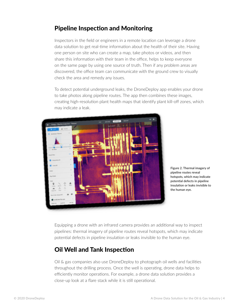### Pipeline Inspection and Monitoring

Inspectors in the field or engineers in a remote location can leverage a drone data solution to get real-time information about the health of their site. Having one person on site who can create a map, take photos or videos, and then share this information with their team in the office, helps to keep everyone on the same page by using one source of truth. Then if any problem areas are discovered, the office team can communicate with the ground crew to visually check the area and remedy any issues.

To detect potential underground leaks, the DroneDeploy app enables your drone to take photos along pipeline routes. The app then combines these images, creating high-resolution plant health maps that identify plant kill-off zones, which may indicate a leak.



**Figure 2. Thermal imagery of pipeline routes reveal hotspots, which may indicate potential defects in pipeline insulation or leaks invisible to the human eye.**

Equipping a drone with an infrared camera provides an additional way to inspect pipelines: thermal imagery of pipeline routes reveal hotspots, which may indicate potential defects in pipeline insulation or leaks invisible to the human eye.

#### Oil Well and Tank Inspection

Oil & gas companies also use DroneDeploy to photograph oil wells and facilities throughout the drilling process. Once the well is operating, drone data helps to efficiently monitor operations. For example, a drone data solution provides a close-up look at a flare stack while it is still operational.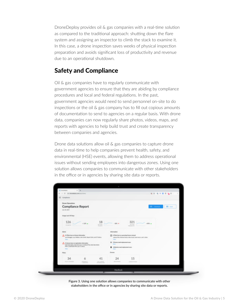DroneDeploy provides oil & gas companies with a real-time solution as compared to the traditional approach: shutting down the flare system and assigning an inspector to climb the stack to examine it. In this case, a drone inspection saves weeks of physical inspection preparation and avoids significant loss of productivity and revenue due to an operational shutdown.

#### Safety and Compliance

Oil & gas companies have to regularly communicate with government agencies to ensure that they are abiding by compliance procedures and local and federal regulations. In the past, government agencies would need to send personnel on-site to do inspections or the oil & gas company has to fill out copious amounts of documentation to send to agencies on a regular basis. With drone data, companies can now regularly share photos, videos, maps, and reports with agencies to help build trust and create transparency between companies and agencies.

Drone data solutions allow oil & gas companies to capture drone data in real-time to help companies prevent health, safety, and environmental (HSE) events, allowing them to address operational issues without sending employees into dangerous zones. Using one solution allows companies to communicate with other stakeholders in the office or in agencies by sharing site data or reports.



**Figure 3. Using one solution allows companies to communicate with other stakeholders in the office or in agencies by sharing site data or reports.**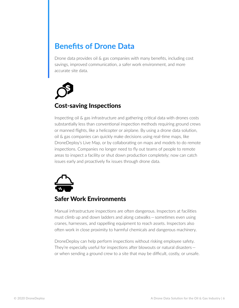## **Benefits of Drone Data**

Drone data provides oil & gas companies with many benefits, including cost savings, improved communication, a safer work environment, and more accurate site data.



#### Cost-saving Inspections

Inspecting oil & gas infrastructure and gathering critical data with drones costs substantially less than conventional inspection methods requiring ground crews or manned flights, like a helicopter or airplane. By using a drone data solution, oil & gas companies can quickly make decisions using real-time maps, like DroneDeploy's Live Map, or by collaborating on maps and models to do remote inspections. Companies no longer need to fly out teams of people to remote areas to inspect a facility or shut down production completely; now can catch issues early and proactively fix issues through drone data.



#### Safer Work Environments

Manual infrastructure inspections are often dangerous. Inspectors at facilities must climb up and down ladders and along catwalks — sometimes even using cranes, harnesses, and rappelling equipment to reach assets. Inspectors also often work in close proximity to harmful chemicals and dangerous machinery.

DroneDeploy can help perform inspections without risking employee safety. They're especially useful for inspections after blowouts or natural disasters   or when sending a ground crew to a site that may be difficult, costly, or unsafe.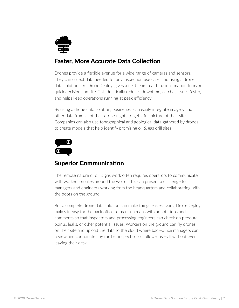

#### Faster, More Accurate Data Collection

Drones provide a flexible avenue for a wide range of cameras and sensors. They can collect data needed for any inspection use case, and using a drone data solution, like DroneDeploy, gives a field team real-time information to make quick decisions on site. This drastically reduces downtime, catches issues faster, and helps keep operations running at peak efficiency.

By using a drone data solution, businesses can easily integrate imagery and other data from all of their drone flights to get a full picture of their site. Companies can also use topographical and geological data gathered by drones to create models that help identify promising oil & gas drill sites.



#### Superior Communication

The remote nature of oil & gas work often requires operators to communicate with workers on sites around the world. This can present a challenge to managers and engineers working from the headquarters and collaborating with the boots on the ground.

But a complete drone data solution can make things easier. Using DroneDeploy makes it easy for the back office to mark up maps with annotations and comments so that inspectors and processing engineers can check on pressure points, leaks, or other potential issues. Workers on the ground can fly drones on their site and upload the data to the cloud where back-office managers can review and coordinate any further inspection or follow-ups — all without ever leaving their desk.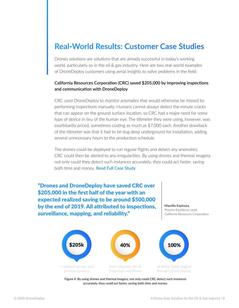## **Real-World Results: Customer Case Studies**

Drones solutions are solutions that are already successful in today's working world, particularly so in the oil & gas industry. Here are two real-world examples of DroneDeploy customers using aerial insights to solve problems in the field:

#### **California Resources Corporation (CRC) saved \$205,000 by improving inspections and communication with DroneDeploy**

CRC used DroneDeploy to monitor anomalies that would otherwise be missed by performing inspections manually. Humans cannot always detect the minute cracks that can appear on the ground surface location, so CRC had a major need for some type of device in lieu of the human eye. The tiltmeter they were using, however, was exorbitantly priced, sometimes costing as much as \$7,000 each. Another drawback of the tiltmeter was that it had to be dug deep underground for installation, adding several unnecessary hours to the production schedule.

The drones could be deployed to run regular flights and detect any anomalies; CRC could then be alerted to any irregularities. By using drones and thermal imagery, not only could they detect such instances accurately, they could act faster, saving both time and money. **Read Full Case Study**

"Drones and DroneDeploy have saved CRC over \$205,000 in the first half of the year with an expected realized saving to be around \$500,000 by the end of 2019. All attributed to inspections, surveillance, mapping, and reliability."

**Maurilio Espinoza,**  Process Excellence Lead, California Resources Corporation



**Figure 4. By using drones and thermal imagery, not only could CRC detect such instances accurately, they could act faster, saving both time and money.**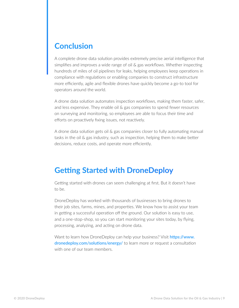## **Conclusion**

A complete drone data solution provides extremely precise aerial intelligence that simplifies and improves a wide range of oil & gas workflows. Whether inspecting hundreds of miles of oil pipelines for leaks, helping employees keep operations in compliance with regulations or enabling companies to construct infrastructure more efficiently, agile and flexible drones have quickly become a go-to tool for operators around the world.

A drone data solution automates inspection workflows, making them faster, safer, and less expensive. They enable oil & gas companies to spend fewer resources on surveying and monitoring, so employees are able to focus their time and efforts on proactively fixing issues, not reactively.

A drone data solution gets oil & gas companies closer to fully automating manual tasks in the oil & gas industry, such as inspection, helping them to make better decisions, reduce costs, and operate more efficiently.

## **Getting Started with DroneDeploy**

Getting started with drones can seem challenging at first. But it doesn't have to be.

DroneDeploy has worked with thousands of businesses to bring drones to their job sites, farms, mines, and properties. We know how to assist your team in getting a successful operation off the ground. Our solution is easy to use, and a one-stop-shop, so you can start monitoring your sites today, by flying, processing, analyzing, and acting on drone data.

Want to learn how DroneDeploy can help your business? Visit **https://www. dronedeploy.com/solutions/energy/** to learn more or request a consultation with one of our team members.